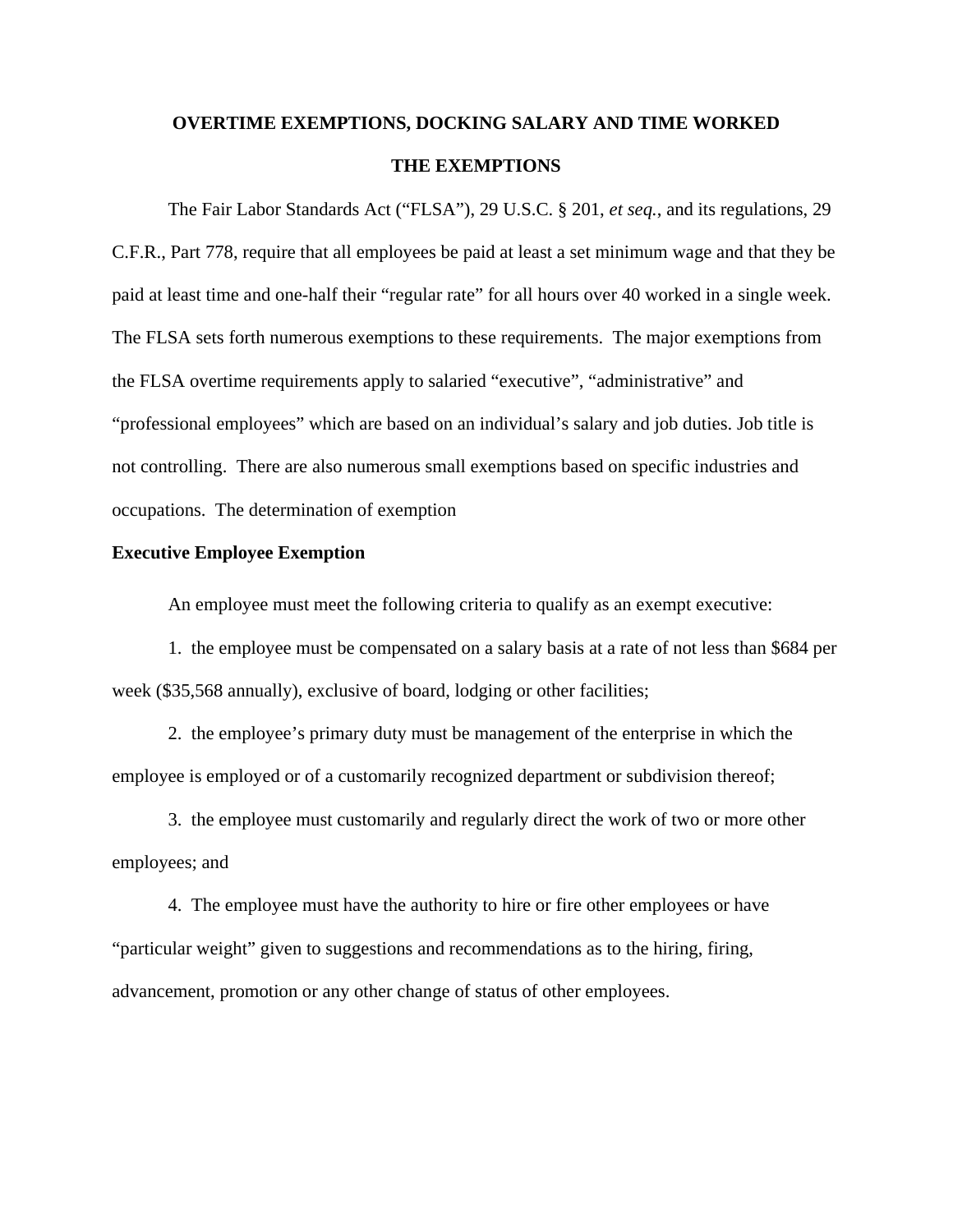# **OVERTIME EXEMPTIONS, DOCKING SALARY AND TIME WORKED THE EXEMPTIONS**

The Fair Labor Standards Act ("FLSA"), 29 U.S.C. § 201, *et seq.*, and its regulations, 29 C.F.R., Part 778, require that all employees be paid at least a set minimum wage and that they be paid at least time and one-half their "regular rate" for all hours over 40 worked in a single week. The FLSA sets forth numerous exemptions to these requirements. The major exemptions from the FLSA overtime requirements apply to salaried "executive", "administrative" and "professional employees" which are based on an individual's salary and job duties. Job title is not controlling. There are also numerous small exemptions based on specific industries and occupations. The determination of exemption

#### **Executive Employee Exemption**

An employee must meet the following criteria to qualify as an exempt executive:

1. the employee must be compensated on a salary basis at a rate of not less than \$684 per week (\$35,568 annually), exclusive of board, lodging or other facilities;

2. the employee's primary duty must be management of the enterprise in which the employee is employed or of a customarily recognized department or subdivision thereof;

3. the employee must customarily and regularly direct the work of two or more other employees; and

4. The employee must have the authority to hire or fire other employees or have "particular weight" given to suggestions and recommendations as to the hiring, firing, advancement, promotion or any other change of status of other employees.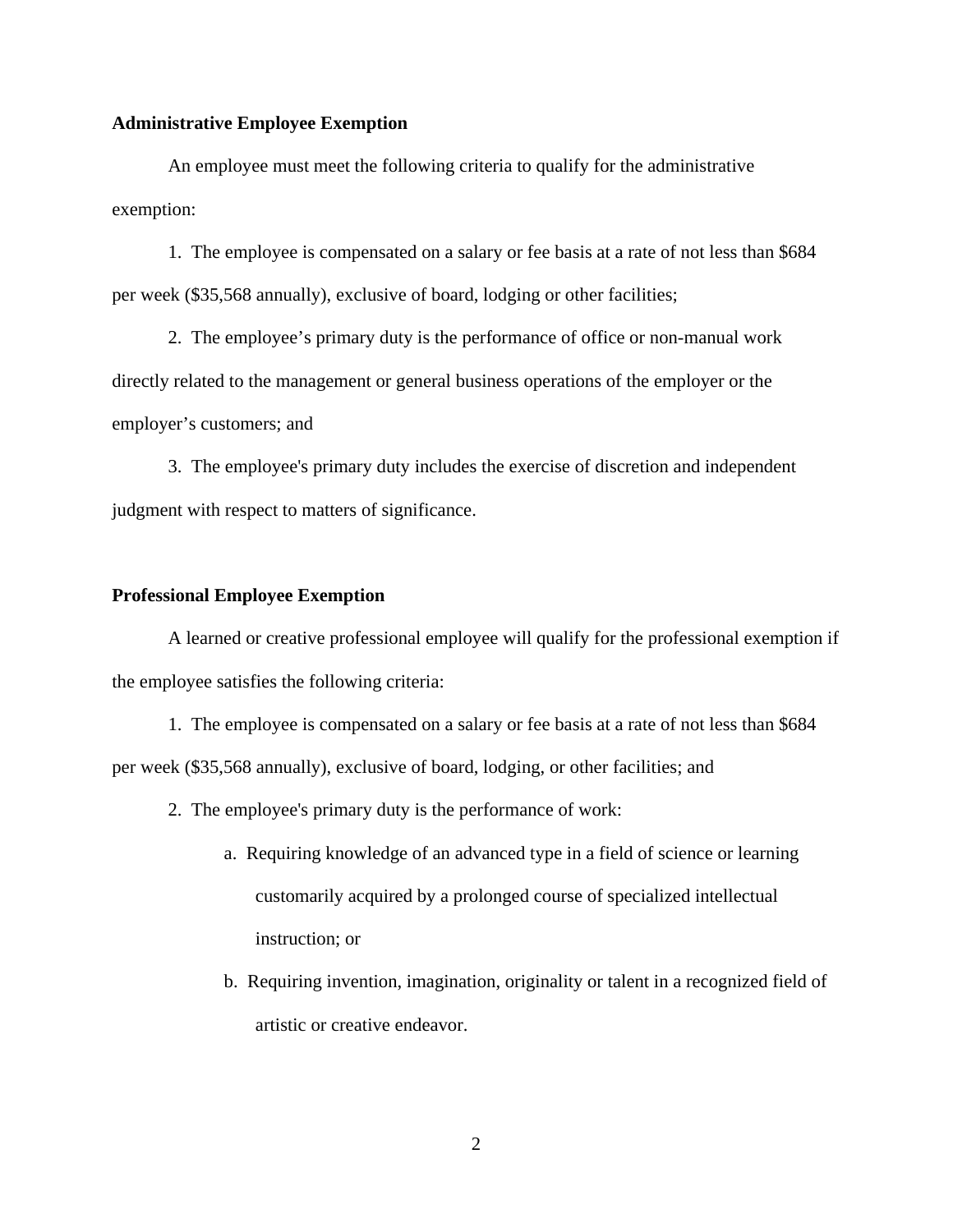#### **Administrative Employee Exemption**

An employee must meet the following criteria to qualify for the administrative exemption:

1. The employee is compensated on a salary or fee basis at a rate of not less than \$684 per week (\$35,568 annually), exclusive of board, lodging or other facilities;

2. The employee's primary duty is the performance of office or non-manual work directly related to the management or general business operations of the employer or the employer's customers; and

3. The employee's primary duty includes the exercise of discretion and independent judgment with respect to matters of significance.

#### **Professional Employee Exemption**

A learned or creative professional employee will qualify for the professional exemption if the employee satisfies the following criteria:

1. The employee is compensated on a salary or fee basis at a rate of not less than \$684 per week (\$35,568 annually), exclusive of board, lodging, or other facilities; and

- 2. The employee's primary duty is the performance of work:
	- a. Requiring knowledge of an advanced type in a field of science or learning customarily acquired by a prolonged course of specialized intellectual instruction; or
	- b. Requiring invention, imagination, originality or talent in a recognized field of artistic or creative endeavor.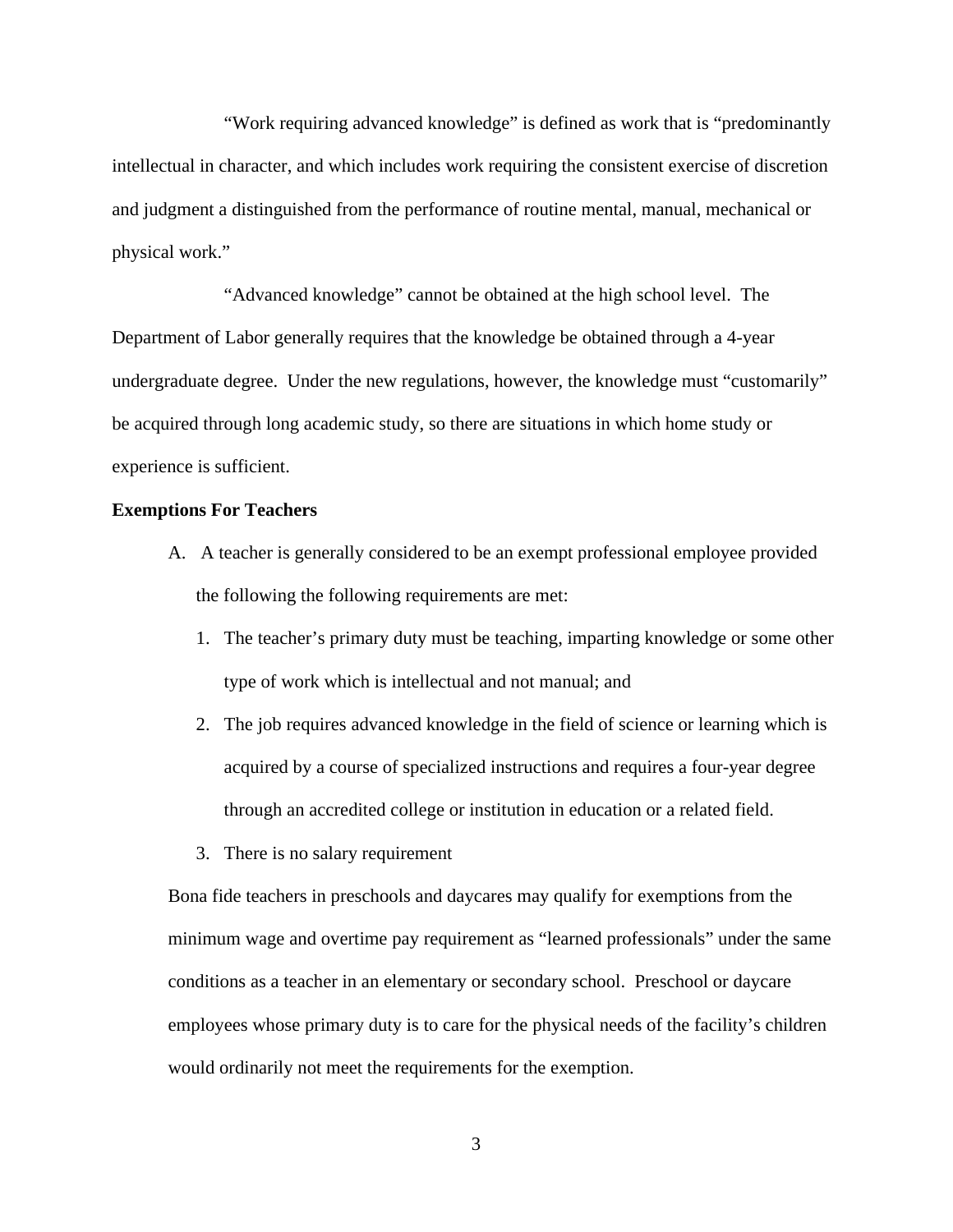"Work requiring advanced knowledge" is defined as work that is "predominantly intellectual in character, and which includes work requiring the consistent exercise of discretion and judgment a distinguished from the performance of routine mental, manual, mechanical or physical work."

"Advanced knowledge" cannot be obtained at the high school level. The Department of Labor generally requires that the knowledge be obtained through a 4-year undergraduate degree. Under the new regulations, however, the knowledge must "customarily" be acquired through long academic study, so there are situations in which home study or experience is sufficient.

## **Exemptions For Teachers**

- A. A teacher is generally considered to be an exempt professional employee provided the following the following requirements are met:
	- 1. The teacher's primary duty must be teaching, imparting knowledge or some other type of work which is intellectual and not manual; and
	- 2. The job requires advanced knowledge in the field of science or learning which is acquired by a course of specialized instructions and requires a four-year degree through an accredited college or institution in education or a related field.
	- 3. There is no salary requirement

Bona fide teachers in preschools and daycares may qualify for exemptions from the minimum wage and overtime pay requirement as "learned professionals" under the same conditions as a teacher in an elementary or secondary school. Preschool or daycare employees whose primary duty is to care for the physical needs of the facility's children would ordinarily not meet the requirements for the exemption.

3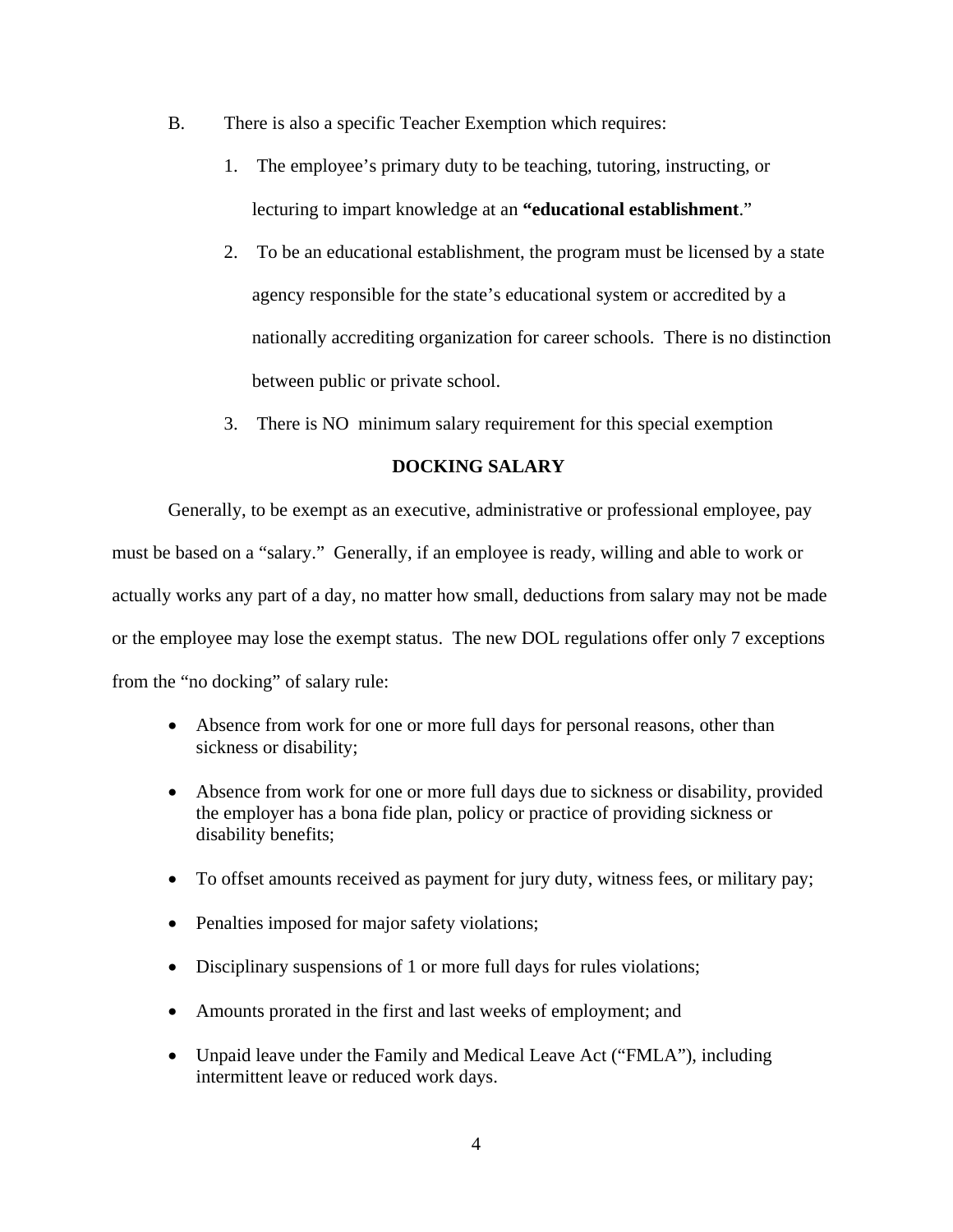- B. There is also a specific Teacher Exemption which requires:
	- 1. The employee's primary duty to be teaching, tutoring, instructing, or lecturing to impart knowledge at an **"educational establishment**."
	- 2. To be an educational establishment, the program must be licensed by a state agency responsible for the state's educational system or accredited by a nationally accrediting organization for career schools. There is no distinction between public or private school.
	- 3. There is NO minimum salary requirement for this special exemption

# **DOCKING SALARY**

Generally, to be exempt as an executive, administrative or professional employee, pay must be based on a "salary." Generally, if an employee is ready, willing and able to work or actually works any part of a day, no matter how small, deductions from salary may not be made or the employee may lose the exempt status. The new DOL regulations offer only 7 exceptions from the "no docking" of salary rule:

- Absence from work for one or more full days for personal reasons, other than sickness or disability;
- Absence from work for one or more full days due to sickness or disability, provided the employer has a bona fide plan, policy or practice of providing sickness or disability benefits;
- To offset amounts received as payment for jury duty, witness fees, or military pay;
- Penalties imposed for major safety violations;
- Disciplinary suspensions of 1 or more full days for rules violations;
- Amounts prorated in the first and last weeks of employment; and
- Unpaid leave under the Family and Medical Leave Act ("FMLA"), including intermittent leave or reduced work days.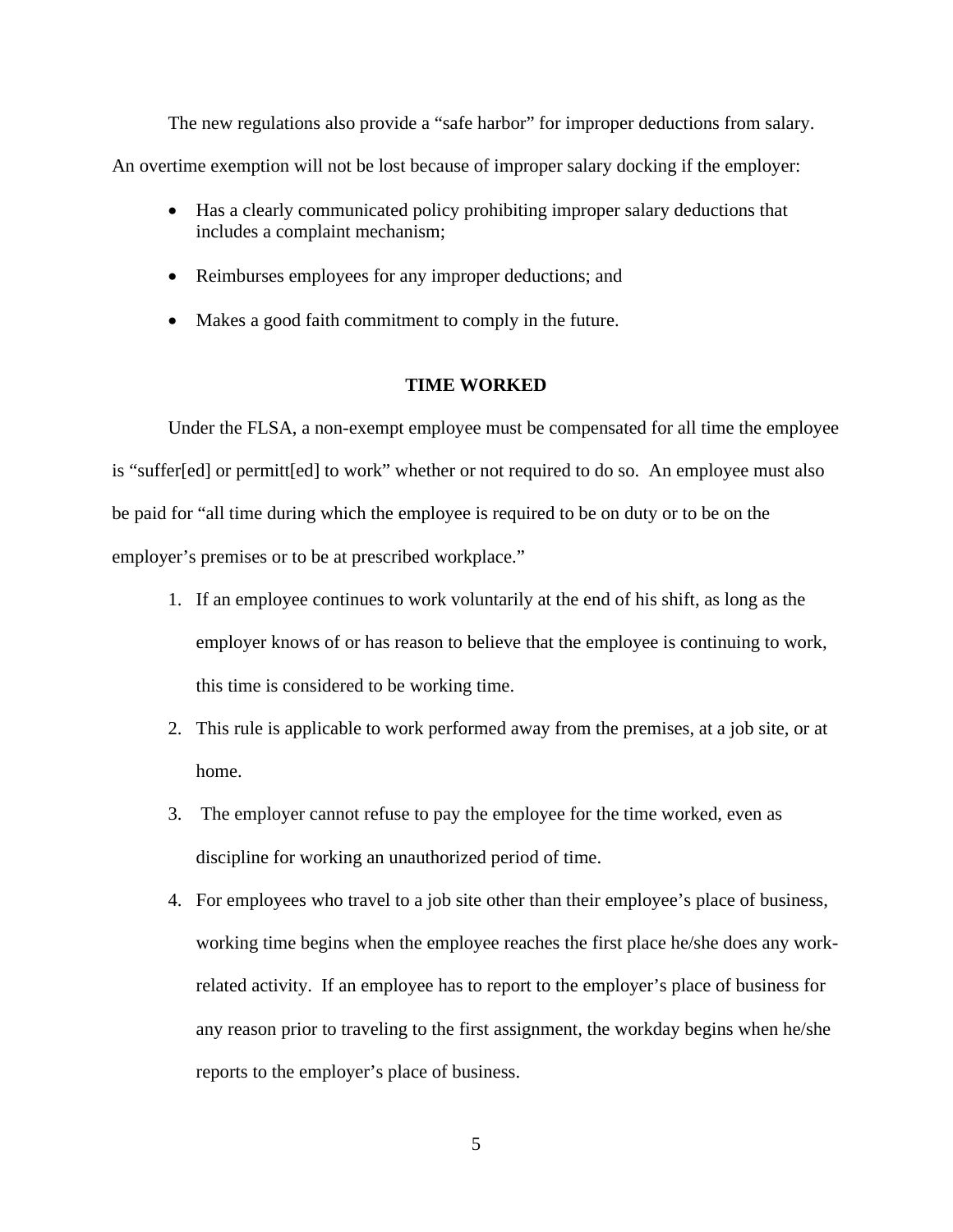The new regulations also provide a "safe harbor" for improper deductions from salary. An overtime exemption will not be lost because of improper salary docking if the employer:

- Has a clearly communicated policy prohibiting improper salary deductions that includes a complaint mechanism;
- Reimburses employees for any improper deductions; and
- Makes a good faith commitment to comply in the future.

## **TIME WORKED**

Under the FLSA, a non-exempt employee must be compensated for all time the employee is "suffer[ed] or permitt[ed] to work" whether or not required to do so. An employee must also be paid for "all time during which the employee is required to be on duty or to be on the employer's premises or to be at prescribed workplace."

- 1. If an employee continues to work voluntarily at the end of his shift, as long as the employer knows of or has reason to believe that the employee is continuing to work, this time is considered to be working time.
- 2. This rule is applicable to work performed away from the premises, at a job site, or at home.
- 3. The employer cannot refuse to pay the employee for the time worked, even as discipline for working an unauthorized period of time.
- 4. For employees who travel to a job site other than their employee's place of business, working time begins when the employee reaches the first place he/she does any workrelated activity. If an employee has to report to the employer's place of business for any reason prior to traveling to the first assignment, the workday begins when he/she reports to the employer's place of business.